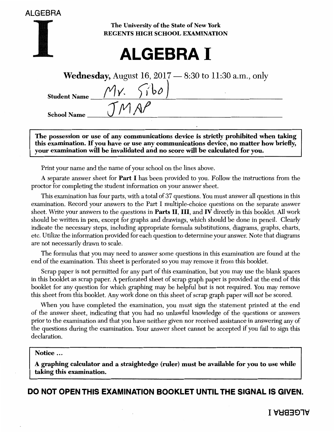

The University of the State of New York REGENTS HIGH SCHOOL EXAMINATION

# ALGEBRA I

| <b>Wednesday,</b> August 16, $2017 - 8:30$ to 11:30 a.m., only |           |  |  |  |  |
|----------------------------------------------------------------|-----------|--|--|--|--|
| <b>Student Name</b>                                            | Mr. Fibo. |  |  |  |  |
| <b>School Name</b>                                             | JMAP      |  |  |  |  |
|                                                                |           |  |  |  |  |

The possession or use of any communications device is strictly prohibited when taking this examination. If you have or use any communications device, no matter how briefly, your examination will he invalidated and no score will he calculated for you.

Print your name and the name of your school on the lines above.

A separate answer sheet for Part I has been provided to you. Follow the instructions from the proctor for completing the student information on your answer sheet.

This examination has four parts, with a total of 37 questions. You must answer all questions in this examination. Record your answers to the Part I multiple-choice questions on the separate answer sheet. Write your answers to the questions in **Parts II, III**, and **IV** directly in this booklet. All work should be written in pen, except for graphs and drawings, which should be done in pencil. Clearly indicate the necessary steps, including appropriate formula substitutions, diagrams, graphs, charts, etc. Utilize the information provided for each question to determine your answer. Note that diagrams are not necessarily drawn to scale.

The formulas that you may need to answer some questions in this examination are found at the end of the examination. This sheet is perforated so you may remove it from this booklet.

Scrap paper is not permitted for any part of this examination, but you may use the blank spaces in this booklet as scrap paper. A perforated sheet of scrap graph paper is provided at the end of this booklet for any question for which graphing may be helpful but is not required. You may remove this sheet from this booklet. Any work done on this sheet of scrap graph paper will *not* be scored.

When you have completed the examination, you must sign the statement printed at the end of the answer sheet, indicating that you had no unlawful knowledge of the questions or answers prior to the examination and that you have neither given nor received assistance in answering any of the questions during the examination. Your answer sheet cannot be accepted if you fail to sign this declaration.

Notice ...

A graphing calculator and a straightedge (ruler) must be available for you to use while taking this examination.

DO NOT OPEN THIS EXAMINATION BOOKLET UNTIL THE SIGNAL IS GIVEN.

I \fl:i83E>1\f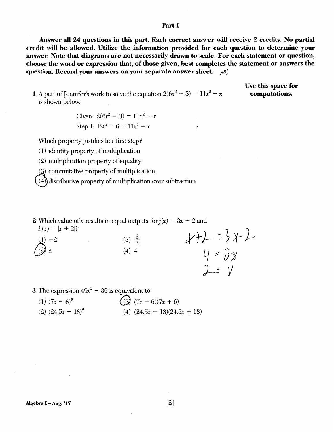#### Part I

Answer all 24 questions in this part. Each correct answer will receive 2 credits. No partial credit will be allowed. Utilize the information provided for each question to determine your answer. Note that diagrams are not necessarily drawn to scale. For each statement or question, choose the word or expression that, of those given, best completes the statement or answers the question. Record your answers on your separate answer sheet. [ 48]

1 A part of Jennifer's work to solve the equation  $2(6x^2 - 3) = 11x^2 - x$ is shown below.

Use this space for computations.

Given:  $2(6x^2 - 3) = 11x^2 - x$ Step 1:  $12x^2 - 6 = 11x^2 - x$ 

Which property justifies her first step?

(1) identity property of multiplication

(2) multiplication property of equality

 $(3)$  commutative property of multiplication

 $\langle 4 \rangle$  distributive property of multiplication over subtraction

2 Which value of x results in equal outputs for  $j(x) = 3x - 2$  and  $b(x) = |x + 2|$ ?

(3)  $\frac{2}{3}$ 

(4) 4

 $(1) -2$  $(2)2$ 



3 The expression  $49x^2 - 36$  is equivalent to

(1) 
$$
(7x - 6)^2
$$
  
(2)  $(24.5x - 18)^2$   
(3)  $(7x - 6)(7x + 6)$   
(4)  $(24.5x - 18)(24.5x + 18)$ 

Algebra I - Aug. '17  $[2]$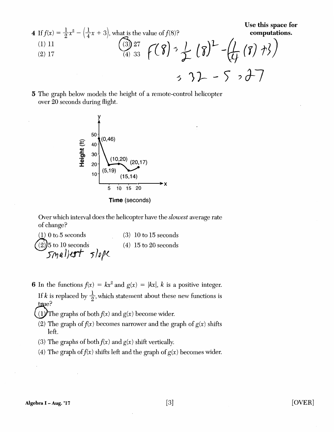4 If 
$$
f(x) = \frac{1}{2}x^2 - (\frac{1}{4}x + 3)
$$
, what is the value of  $f(8)$ ?  
\n(1) 11  
\n(2) 17  
\n(3) 27  
\n(4) 33  $f(\theta) \rightarrow \frac{1}{2} (\theta)^2 - (\frac{1}{4} (\theta) \gamma^2)$   
\n(5) 32  
\n(6) 33  $f(\theta) \rightarrow \frac{1}{2} (\theta)^2 - (\frac{1}{4} (\theta) \gamma^2)$ 

**5** The graph below models the height of a remote-control helicopter over 20 seconds during flight.



Over which interval does the helicopter have the *slowest* average rate of change?

~ 0 to 5 seconds @5 to 10 seconds J/ltJ *4* J ){ff- ) *10* f- (3) 10 to 15 seconds ( 4) 15 to 20 seconds

- **6** In the functions  $f(x) = kx^2$  and  $g(x) = |kx|$ , *k* is a positive integer.
	- If *k* is replaced by  $\frac{1}{2}$ , which statement about these new functions is true?

(1) The graphs of both  $f(x)$  and  $g(x)$  become wider.

- (2) The graph of  $f(x)$  becomes narrower and the graph of  $g(x)$  shifts left.
- (3) The graphs of both  $f(x)$  and  $g(x)$  shift vertically.
- (4) The graph of  $f(x)$  shifts left and the graph of  $g(x)$  becomes wider.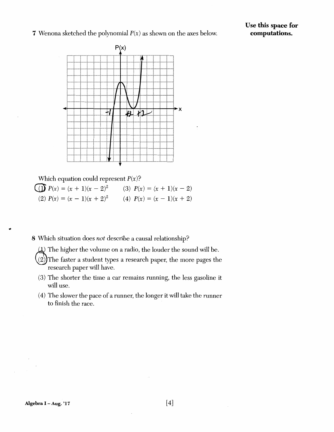## **7** Wenona sketched the polynomial  $P(x)$  as shown on the axes below.



Which equation could represent  $P(x)$ ?  $\bigodot$   $P(x) = (x + 1)(x - 2)^2$  (3)  $P(x) = (x + 1)(x - 2)$ (2)  $P(x) = (x - 1)(x + 2)^2$  (4)  $P(x) = (x - 1)(x + 2)$ 

**8** Which situation does *not* describe a causal relationship?

~The higher the volume on a radio, the louder the sound will be.

 $(2)$ The faster a student types a research paper, the more pages the research paper will have.

- ( 3) The shorter the time a car remains running, the less gasoline it will use.
- (4) The slower the pace of a runner, the longer it will take the runner to finish the race.

**Algebra** I - **Aug. '17** [4]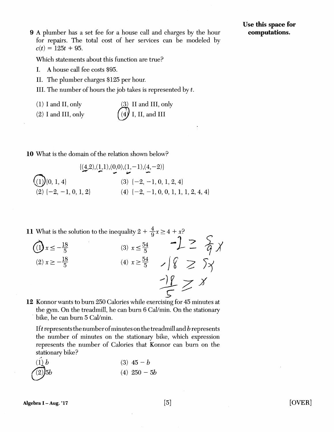9 A plumber has a set fee for a house call and charges by the hour for repairs. The total cost of her services can be modeled by  $c(t) = 125t + 95.$ 

Which statements about this function are true?

- I. A house call fee costs \$95.
- II. The plumber charges \$125 per hour.
- III. The number of hours the job takes is represented by *t.*
- (1) I and II, only  $(3)$  II and III, only
- (2) I and III, only

I, II, and III

10 What is the domain of the relation shown below?

$$
\{(4,2), (1,1), (0,0), (1,-1), (4,-2)\}\
$$
\n
$$
(1)\{0, 1, 4\}
$$
\n
$$
(2)\{-2, -1, 0, 1, 2\}
$$
\n
$$
(3)\{-2, -1, 0, 1, 2, 4\}
$$
\n
$$
(4)\{-2, -1, 0, 0, 1, 1, 1, 2, 4, 4\}
$$

11 What is the solution to the inequality 
$$
2 + \frac{4}{9}x \ge 4 + x
$$
?  
\n
$$
(1) \quad x \le -\frac{18}{5} \qquad (3) \quad x \le \frac{54}{5} \qquad -\frac{1}{2} \qquad \frac{5}{4} \qquad \frac{7}{4} \qquad \frac{7}{4} \qquad \frac{7}{4} \qquad \frac{7}{4} \qquad \frac{7}{4} \qquad \frac{7}{4} \qquad \frac{7}{4} \qquad \frac{7}{4} \qquad \frac{7}{4} \qquad \frac{7}{4} \qquad \frac{7}{4} \qquad \frac{7}{4} \qquad \frac{7}{4} \qquad \frac{7}{4} \qquad \frac{7}{4} \qquad \frac{7}{4} \qquad \frac{7}{4} \qquad \frac{7}{4} \qquad \frac{7}{4} \qquad \frac{7}{4} \qquad \frac{7}{4} \qquad \frac{7}{4} \qquad \frac{7}{4} \qquad \frac{7}{4} \qquad \frac{7}{4} \qquad \frac{7}{4} \qquad \frac{7}{4} \qquad \frac{7}{4} \qquad \frac{7}{4} \qquad \frac{7}{4} \qquad \frac{7}{4} \qquad \frac{7}{4} \qquad \frac{7}{4} \qquad \frac{7}{4} \qquad \frac{7}{4} \qquad \frac{7}{4} \qquad \frac{7}{4} \qquad \frac{7}{4} \qquad \frac{7}{4} \qquad \frac{7}{4} \qquad \frac{7}{4} \qquad \frac{7}{4} \qquad \frac{7}{4} \qquad \frac{7}{4} \qquad \frac{7}{4} \qquad \frac{7}{4} \qquad \frac{7}{4} \qquad \frac{7}{4} \qquad \frac{7}{4} \qquad \frac{7}{4} \qquad \frac{7}{4} \qquad \frac{7}{4} \qquad \frac{7}{4} \qquad \frac{7}{4} \qquad \frac{7}{4} \qquad \frac{7}{4} \qquad \frac{7}{4} \qquad \frac{7}{4} \qquad \frac{7}{4} \qquad \frac{7}{4} \qquad \frac{7}{4} \qquad \frac{7}{4} \qquad \frac{7}{4} \qquad \frac{7}{4} \qquad \frac{7}{4} \qquad \frac{7}{4} \qquad \frac{7}{
$$

12 Konnor wants to burn 250 Calories while exercising for 45 minutes at the gym. On the treadmill, he can burn 6 Cal/min. On the stationary bike, he can burn 5 Cal/min.

If *t* represents the number of minutes on the treadmill and *b* represents the number of minutes on the stationary bike, which expression represents the number of Calories that Konnor can burn on the stationary bike?

| 5.00000000000000000000 |                        |
|------------------------|------------------------|
| $\mathbf{u}$           | $(3)$ 45 – b           |
| $(2)$ 5b               | $(4)$ 250 – 5 <i>b</i> |
|                        |                        |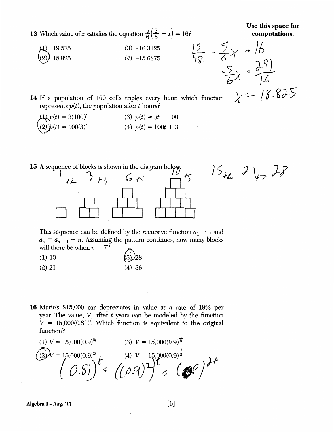**13** Which value of *x* satisfies the equation  $\frac{5}{6}(\frac{3}{8}-x) = 16$ ? **computations.**   $-19.575$  $-18.825$ (3) -16.3125  $(4)$   $-15.6875$  $\frac{15}{40}$  -  $\frac{5}{4}$  x  $\frac{1}{6}$  $\frac{1}{48}$  -  $\frac{1}{6}$  x  $\frac{3}{10}$ **14** If a population of 100 cells triples every hour, which function represents  $p(t)$ , the population after  $t$  hours?  $\lim_{t \to \infty} p(t) = 3(100)^t$  (3)  $p(t) = 3t + 100$  $\binom{1}{2}p(t) = 100(3)^t$  (4)  $p(t) = 100t + 3$ *b.X* /Jl  $x - 18.825$ 

**15** A sequence of blocks is shown in the diagram below.



 $1546 - 2127$ 

**Use this space for** 

This sequence can be defined by the recursive function  $a_1 = 1$  and  $a_n = a_{n-1} + n$ . Assuming the pattern continues, how many blocks will there be when  $n = 7$ ?  $\wedge$ 

| $(1)$ 13 | $(3)$ 28 |
|----------|----------|
| $(2)$ 21 | $(4)$ 36 |

**16** Mario's \$15,000 car depreciates in value at a rate of 19% per year. The value, V, after *t* years can be modeled by the function  $V = 15,000(0.81)^t$ . Which function is equivalent to the original function?

(1) 
$$
V = 15,000(0.9)^{9t}
$$
  
\n(2)  $V = 15,000(0.9)^{2t}$   
\n(3)  $V = 15,000(0.9)^{\frac{t}{9}}$   
\n(4)  $V = 15,000(0.9)^{\frac{t}{2}}$   
\n(5)  $V = 15,000(0.9)^{\frac{t}{2}}$   
\n(6)  $V = 15,000(0.9)^{\frac{t}{2}}$   
\n(7)  $V = 15,000(0.9)^{\frac{t}{2}}$ 

**Algebra I - Aug. '17**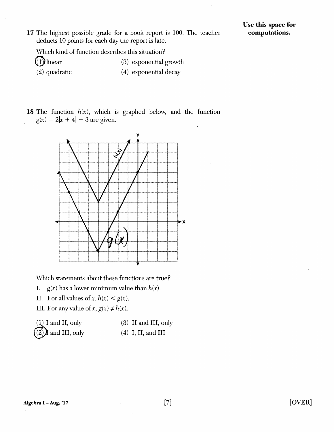**17** The highest possible grade for a book report is 100. The teacher deducts 10 points for each day the report is late.

Which kind of function describes this situation?

- $\left( 1 \right)$ linear (3) exponential growth
- 
- (2) quadratic (4) exponential decay
- **18** The function  $h(x)$ , which is graphed below, and the function  $g(x) = 2|x + 4| - 3$  are given.



Which statements about these functions are true?

- I.  $g(x)$  has a lower minimum value than  $h(x)$ .
- II. For all values of  $x, h(x) < g(x)$ .

III. For any value of  $x, g(x) \neq h(x)$ .

| $\lambda$ I and II, only                                     | $(3)$ II and III, only |
|--------------------------------------------------------------|------------------------|
| $\left(\begin{matrix} 2\\ \end{matrix}\right)$ and III, only | $(4)$ I, II, and III   |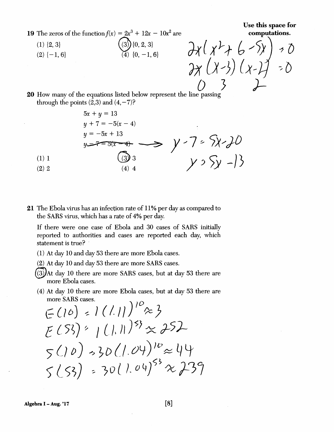$=$   $\delta$ 

IX *(x/J) Cx-*

19 The zeros of the function 
$$
f(x) = 2x^3 + 12x - 10x^2
$$
 are

- (1)  $\{2, 3\}$   $\{(3)\}(0, 2, 3\})$ (1) {2, 3}<br>(2) {-1, 6} (3) {0, 2, 3}<br>(4) {0, -1, 6}  $\partial x (\chi^2 + 6 - \sqrt{y})$
- 
- 20 How many of the equations listed below represent the line passing through the points  $(2,3)$  and  $(4,-7)$ ?

$$
5x + y = 13
$$
  
\n
$$
y + 7 = -5(x - 4)
$$
  
\n
$$
y = -5x + 13
$$
  
\n
$$
y = 5(x - 4)
$$
  
\n(1) 1  
\n(2) 2  
\n(3) 3  
\n(4) 4  
\n(5) 3  
\n(6) 3  
\n(7) 5x - 1  
\n(9) 9

21 The Ebola virus has an infection rate of 11% per day as compared to the SARS virus, which has a rate of 4% per day.

If there were one case of Ebola and 30 cases of SARS initially reported to authorities and cases are reported each day, which statement is true?

- (1) At day 10 and day 53 there are more Ebola cases.
- (2) At day 10 and day 53 there are more SARS cases.
- $(3)$ At day 10 there are more SARS cases, but at day 53 there are more Ebola cases.
- (4) At day 10 there are more Ebola cases, but at day 53 there are more SARS cases.

$$
\begin{aligned}\n&\in(10) = 1(1.11)^{10} \approx 3 \\
&\in(53) = 1(1.11)^{53} \approx 252 \\
&\in(10) = 30(1.04)^{10} \approx 44 \\
&\leq(53) = 30(1.04)^{53} \approx 239\n\end{aligned}
$$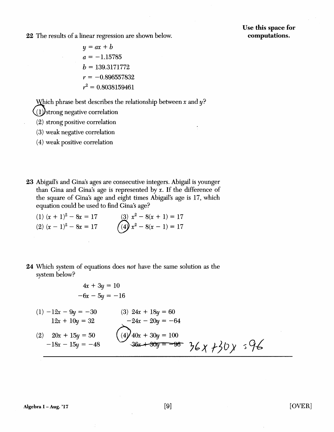22 The results of a linear regression are shown below.

$$
y = ax + b
$$
  
\n
$$
a = -1.15785
$$
  
\n
$$
b = 139.3171772
$$
  
\n
$$
r = -0.896557832
$$
  
\n
$$
r^2 = 0.8038159461
$$

Which phrase best describes the relationship between  $x$  and  $y$ ?

 $(1)$ strong negative correlation

(2) strong positive correlation

( 3) weak negative correlation

( 4) weak positive correlation

- 23 Abigail's and Gina's ages are consecutive integers. Abigail is younger than Gina and Gina's age is represented by *x.* If the difference of the square of Gina's age and eight times Abigail's age is 17, which equation could be used to find Gina's age?
	- (1)  $(x + 1)^2 8x = 17$  (3)  $x^2 8(x + 1) = 17$ (2)  $(x - 1)^2 - 8x = 17$  <br>  $(4) x^2 - 8(x - 1) = 17$

## 24 Which system of equations does *not* have the same solution as the system below?

$$
4x + 3y = 10
$$

$$
-6x - 5y = -16
$$

 $(1) -12x - 9y = -30$  $12x + 10y = 32$ (3)  $24x + 18y = 60$  $-24x - 20y = -64$  $(2)$   $20x + 15y = 50$  $-18x - 15y = -48$ (3)  $24x + 18y = 60$ <br>  $-24x - 20y = -64$ <br>
(4)  $40x + 30y = 100$ <br>  $36x + 30y = -96$   $36x + 30y = -96$  $+30y = 100$ 76x +30x 596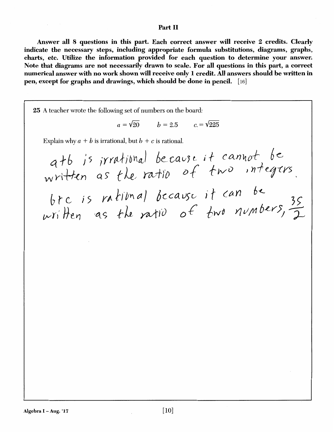#### Part II

Answer all 8 questions in this part. Each correct answer will receive 2 credits. Clearly indicate the necessary steps, including appropriate formula substitutions, diagrams, graphs, charts, etc. Utilize the information provided for each question to determine your answer. Note that diagrams are not necessarily drawn to scale. For all questions in this part, a correct numerical answer with no work shown will receive only 1 credit. All answers should be written in pen, except for graphs and drawings, which should be done in pencil. [ 16]

25 A teacher wrote the following set of numbers on the board:

$$
a = \sqrt{20}
$$
  $b = 2.5$   $c = \sqrt{225}$ 

Explain why  $a + b$  is irrational, but  $b + c$  is rational.

*cannot* be , rrf *e11:Jrs* . j y f *tt{* j *b Y'ca,)* 6e\_\_ Gav 1 *t\_*  as the ratio of *b* r *c.,* <sup>i</sup>s Y/I. tf bl'\~ *I 6c ca usu*   $v$ *vi* then as the vation of *it* can be fwd  $\n \, n \vee m \, \text{b} \, \text{e} \times \text{y} \, \frac{35}{2}$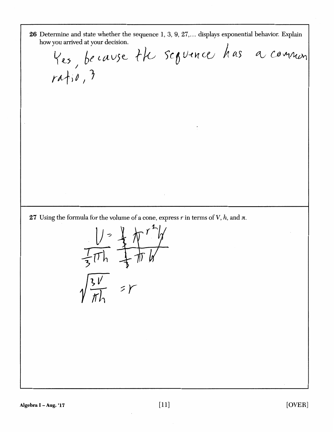26 Determine and state whether the sequence 1, 3, 9, 27, ... displays exponential behavior. Explain how you arrived at your decision.  $\gamma$ es, be cause *ra*tio, 3 27 Using the formula for the volume of a cone, express  $r$  in terms of  $V$ ,  $h$ , and  $\pi$ . r *1-..*   $5r$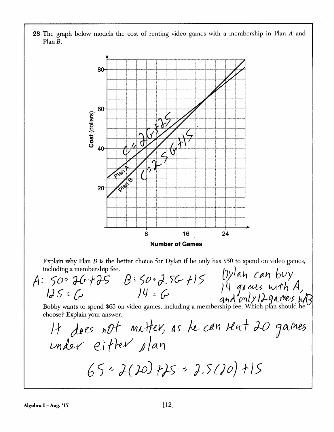28 The graph below models the cost of renting video games with a membership in Plan A and Plan B.

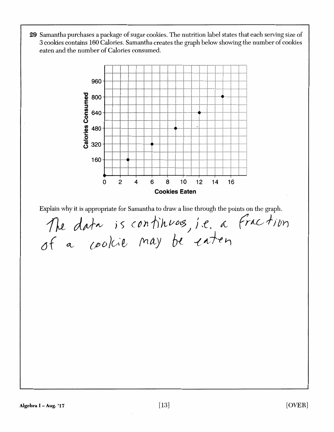**29** Samantha purchases a package of sugar cookies. The nutrition label states that each serving size of 3 cookies contains 160 Calories. Samantha creates the graph below showing the number of cookies eaten and the number of Calories consumed.



Explain why it is appropriate for Samantha *to* draw a line through the points on the graph.

The data is continuous, i.e. a fraction of a *coolcie may be enten*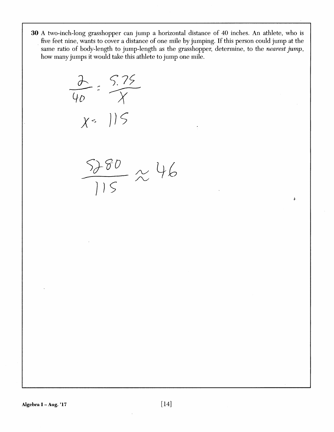30 A two-inch-long grasshopper can jump a horizontal distance of 40 inches. An athlete, who is five feet nine, wants to cover a distance of one mile by jumping. If this person could jump at the same ratio of body-length to jump-length as the grasshopper, determine, to the *nearest jump,*  how many jumps it would take this athlete to jump one mile.

ł.

 $\frac{2}{40}$  = 5.75  $x = 15$ 

 $\frac{5280}{115}$   $\approx$  46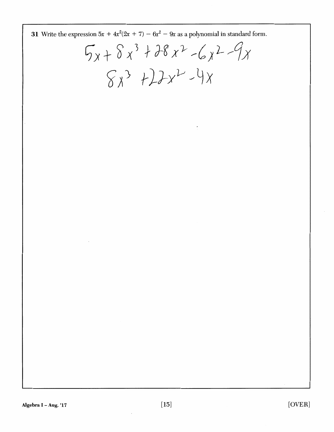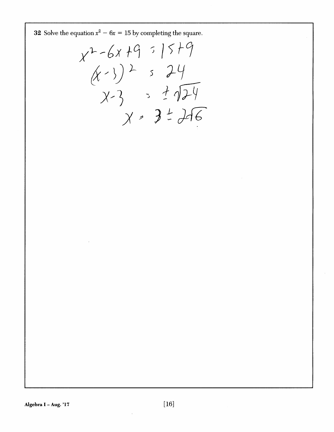32 Solve the equation  $x^2 - 6x = 15$  by completing the square.

 $x^{2}-6x+9=15+9$  $(x-3)^2$  s 24<br> $x-3$  s  $\pm \sqrt{24}$ <br> $x-3$  =  $\pm \sqrt{24}$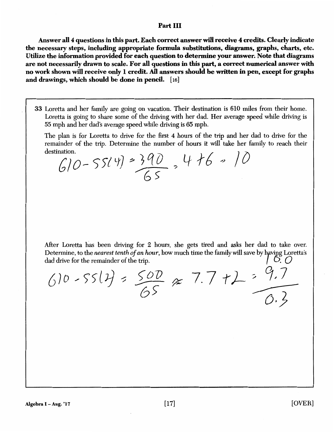#### Part III

Answer all 4 questions in this part. Each correct answer will receive 4 credits. Clearly indicate the necessary steps, including appropriate formula substitutions, diagrams, graphs, charts, etc. Utilize the information provided for each question to determine your answer. Note that diagrams are not necessarily drawn to scale. For all questions in this part, a correct numerical answer with no work shown will receive only I credit. All answers should be written in pen, except for graphs and drawings, which should be done in pencil. [ 16]

33 Loretta and her family are going on vacation. Their destination is 610 miles from their home. Loretta is going to share some of the driving with her dad. Her average speed while driving is 55 mph and her dad's average speed while driving is 65 mph.

The plan is for Loretta to drive for the first 4 hours of the trip and her dad to drive for the remainder of the trip. Determine the number of hours it will take her family to reach their

destination.<br>  $6/0-55'$   $\frac{4}{3}$   $\frac{4}{65}$ ,  $\frac{4}{6}$   $\frac{1}{6}$  ...  $10$ 

After Loretta has been driving for 2 hours, she gets tired and asks her dad to take over. Determine, to the *nearest tenth of an hour*, how much time the family will save by having Loretta's dad drive for the remainder of the trip. dad drive for the remainder of the trip.

 $7.7 + 2 = 9.7$ {JC *.I- .----::--*  $0.3$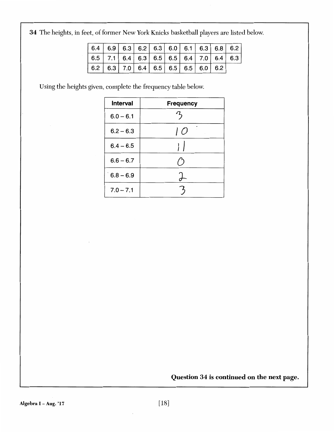34 The heights, in feet, of former New York Knicks basketball players are listed below.

| $\vert$ 6.4 $\vert$ 6.9 $\vert$ 6.3 $\vert$ 6.2 $\vert$ 6.3 $\vert$ 6.0 $\vert$ 6.1 $\vert$ 6.3 $\vert$ 6.8 $\vert$ 6.2 |  |  |  |  |  |
|-------------------------------------------------------------------------------------------------------------------------|--|--|--|--|--|
| $\vert$ 6.5 $\vert$ 7.1 $\vert$ 6.4 $\vert$ 6.3 $\vert$ 6.5 $\vert$ 6.5 $\vert$ 6.4 $\vert$ 7.0 $\vert$ 6.4 $\vert$ 6.3 |  |  |  |  |  |
| 6.2 6.3 7.0 6.4 6.5 6.5 6.5 6.0 6.2                                                                                     |  |  |  |  |  |

Using the heights given, complete the frequency table below.

| <b>Interval</b> | <b>Frequency</b> |
|-----------------|------------------|
| $6.0 - 6.1$     |                  |
| $6.2 - 6.3$     | 1 O              |
| $6.4 - 6.5$     |                  |
| $6.6 - 6.7$     |                  |
| $6.8 - 6.9$     |                  |
| $7.0 - 7.1$     |                  |

Question 34 is continued on the next page.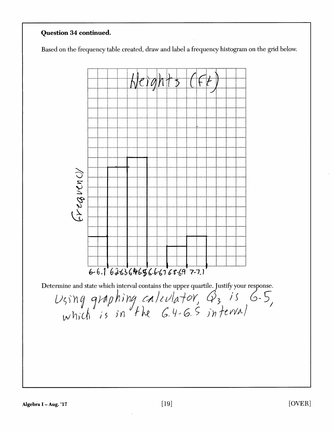# **Question 34 continued.**

Based on the frequency table created, draw and label a frequency histogram on the grid below.

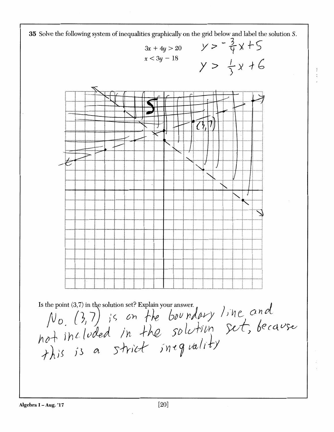![](_page_19_Figure_0.jpeg)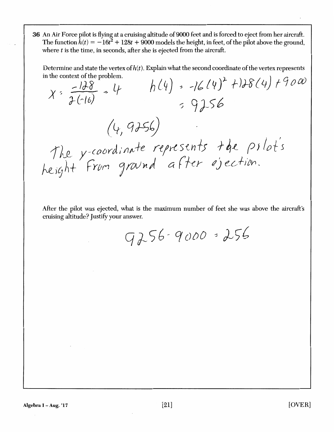36 An Air Force pilot is flying at a cruising altitude of 9000 feet and is forced to eject from her aircraft. The function  $\hat{h}(t) = -16t^2 + 128t + 9000$  models the height, in feet, of the pilot above the ground, where *t* is the time, in seconds, after she is ejected from the aircraft.

Determine and state the vertex of  $h(t)$ . Explain what the second coordinate of the vertex represents in the context of the problem.

in the context of the problem.  
\n
$$
\chi = \frac{108}{2(16)} = 4
$$
\n
$$
h(4) = -16(4)^{2} + 108(4) + 9000
$$
\n
$$
= 9256
$$
\n
$$
(4, 9356)
$$
\nThe y-coordinate represents the pulsant  
\nheight. From ground after ejection.

After the pilot was ejected, what is the maximum number of feet she was above the aircraft's cruising altitude? Justify your answer.

 $9256 - 9000 = 256$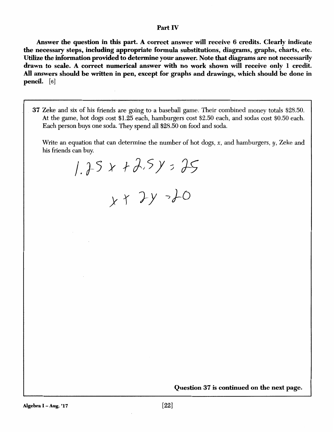### Part IV

Answer the question in this part. A correct answer will receive 6 credits. Clearly indicate the necessary steps, including appropriate formula substitutions, diagrams, graphs, charts, etc. Utilize the information provided to determine your answer. Note that diagrams are not necessarily drawn to scale. A correct numerical answer with no work shown will receive only I credit. All answers should be written in pen, except for graphs and drawings, which should be done in pencil. [6]

37 Zeke and six of his friends are going to a baseball game. Their combined money totals \$28.50. At the game, hot dogs cost \$1.25 each, hamburgers cost \$2.50 each, and sodas cost \$0.50 each. Each person buys one soda. They spend all \$28.50 on food and soda.

 $x + 2y - 20$ 

 $1.25 \times 12.5 \times 5.25$ 

Write an equation that can determine the number of hot dogs, *x,* and hamburgers, *y,* Zeke and his friends can buy.

Question 37 is continued on the next page.